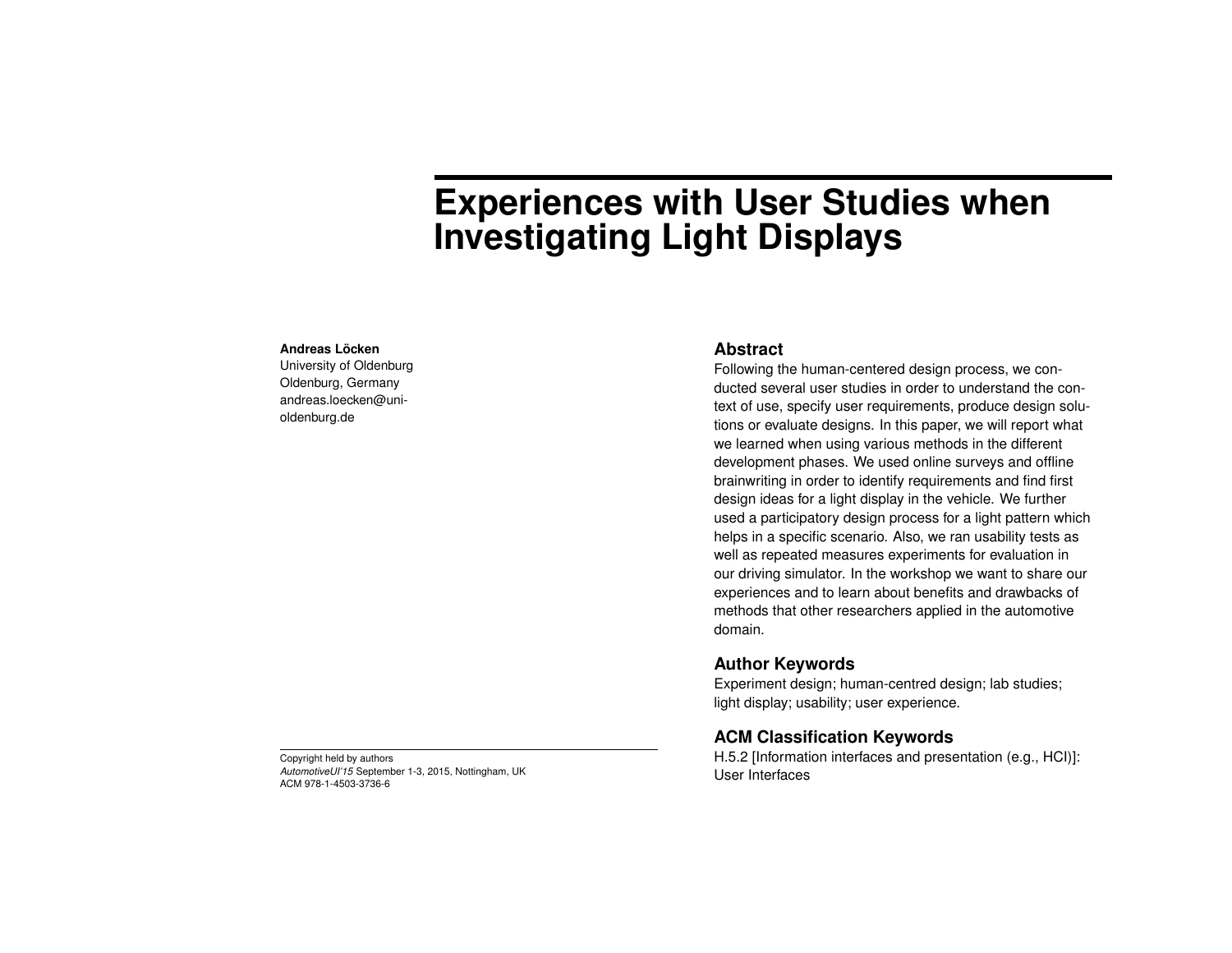# **Experiences with User Studies when Investigating Light Displays**

#### **Andreas Löcken**

University of Oldenburg Oldenburg, Germany andreas.loecken@unioldenburg.de

### **Abstract**

Following the human-centered design process, we conducted several user studies in order to understand the context of use, specify user requirements, produce design solutions or evaluate designs. In this paper, we will report what we learned when using various methods in the different development phases. We used online surveys and offline brainwriting in order to identify requirements and find first design ideas for a light display in the vehicle. We further used a participatory design process for a light pattern which helps in a specific scenario. Also, we ran usability tests as well as repeated measures experiments for evaluation in our driving simulator. In the workshop we want to share our experiences and to learn about benefits and drawbacks of methods that other researchers applied in the automotive domain.

## **Author Keywords**

Experiment design; human-centred design; lab studies; light display; usability; user experience.

## **ACM Classification Keywords**

H.5.2 [Information interfaces and presentation (e.g., HCI)]: User Interfaces

Copyright held by authors *AutomotiveUI'15* September 1-3, 2015, Nottingham, UK ACM 978-1-4503-3736-6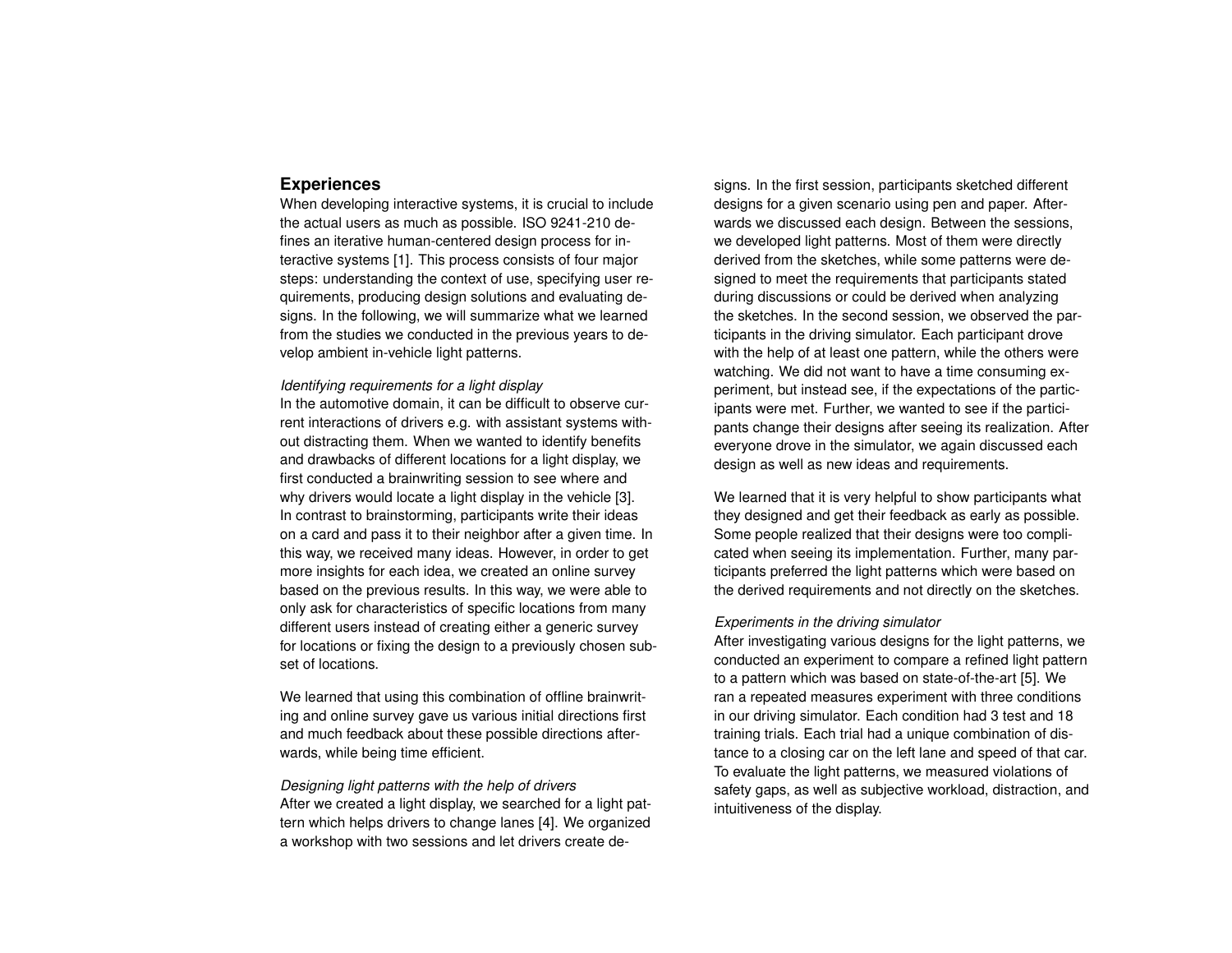### **Experiences**

When developing interactive systems, it is crucial to include the actual users as much as possible. ISO 9241-210 defines an iterative human-centered design process for interactive systems [\[1\]](#page-2-0). This process consists of four major steps: understanding the context of use, specifying user requirements, producing design solutions and evaluating designs. In the following, we will summarize what we learned from the studies we conducted in the previous years to develop ambient in-vehicle light patterns.

#### *Identifying requirements for a light display*

In the automotive domain, it can be difficult to observe current interactions of drivers e.g. with assistant systems without distracting them. When we wanted to identify benefits and drawbacks of different locations for a light display, we first conducted a brainwriting session to see where and why drivers would locate a light display in the vehicle [\[3\]](#page-2-1). In contrast to brainstorming, participants write their ideas on a card and pass it to their neighbor after a given time. In this way, we received many ideas. However, in order to get more insights for each idea, we created an online survey based on the previous results. In this way, we were able to only ask for characteristics of specific locations from many different users instead of creating either a generic survey for locations or fixing the design to a previously chosen subset of locations.

We learned that using this combination of offline brainwriting and online survey gave us various initial directions first and much feedback about these possible directions afterwards, while being time efficient.

## *Designing light patterns with the help of drivers* After we created a light display, we searched for a light pattern which helps drivers to change lanes [\[4\]](#page-2-2). We organized a workshop with two sessions and let drivers create de-

signs. In the first session, participants sketched different designs for a given scenario using pen and paper. Afterwards we discussed each design. Between the sessions, we developed light patterns. Most of them were directly derived from the sketches, while some patterns were designed to meet the requirements that participants stated during discussions or could be derived when analyzing the sketches. In the second session, we observed the participants in the driving simulator. Each participant drove with the help of at least one pattern, while the others were watching. We did not want to have a time consuming experiment, but instead see, if the expectations of the participants were met. Further, we wanted to see if the participants change their designs after seeing its realization. After everyone drove in the simulator, we again discussed each design as well as new ideas and requirements.

We learned that it is very helpful to show participants what they designed and get their feedback as early as possible. Some people realized that their designs were too complicated when seeing its implementation. Further, many participants preferred the light patterns which were based on the derived requirements and not directly on the sketches.

#### *Experiments in the driving simulator*

After investigating various designs for the light patterns, we conducted an experiment to compare a refined light pattern to a pattern which was based on state-of-the-art [\[5\]](#page-2-3). We ran a repeated measures experiment with three conditions in our driving simulator. Each condition had 3 test and 18 training trials. Each trial had a unique combination of distance to a closing car on the left lane and speed of that car. To evaluate the light patterns, we measured violations of safety gaps, as well as subjective workload, distraction, and intuitiveness of the display.